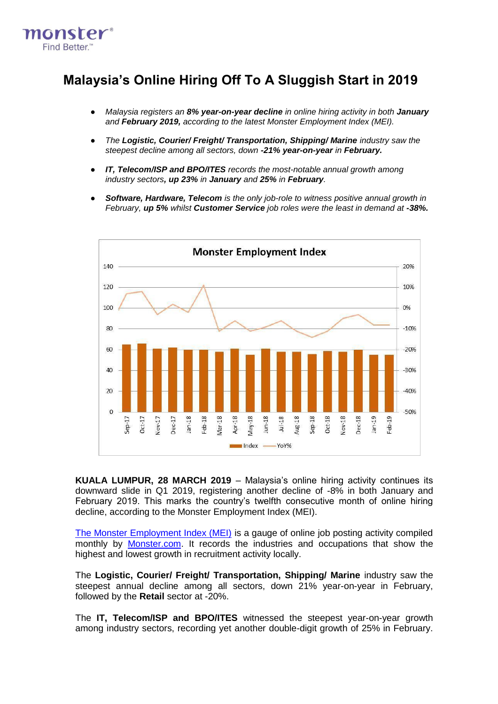

# **Malaysia's Online Hiring Off To A Sluggish Start in 2019**

- *Malaysia registers an 8% year-on-year decline in online hiring activity in both January and February 2019, according to the latest Monster Employment Index (MEI).*
- *The Logistic, Courier/ Freight/ Transportation, Shipping/ Marine industry saw the steepest decline among all sectors, down -21% year-on-year in February.*
- *IT, Telecom/ISP and BPO/ITES records the most-notable annual growth among industry sectors, up 23% in January and 25% in February.*
- *Software, Hardware, Telecom is the only job-role to witness positive annual growth in February, up 5% whilst Customer Service job roles were the least in demand at -38%.*



**KUALA LUMPUR, 28 MARCH 2019** – Malaysia's online hiring activity continues its downward slide in Q1 2019, registering another decline of -8% in both January and February 2019. This marks the country's twelfth consecutive month of online hiring decline, according to the Monster Employment Index (MEI).

[The Monster Employment Index \(MEI\)](http://www.monster.com.my/employment-index/) is a gauge of online job posting activity compiled monthly by [Monster.com.](http://www.monster.com.my/) It records the industries and occupations that show the highest and lowest growth in recruitment activity locally.

The **Logistic, Courier/ Freight/ Transportation, Shipping/ Marine** industry saw the steepest annual decline among all sectors, down 21% year-on-year in February, followed by the **Retail** sector at -20%.

The **IT, Telecom/ISP and BPO/ITES** witnessed the steepest year-on-year growth among industry sectors, recording yet another double-digit growth of 25% in February.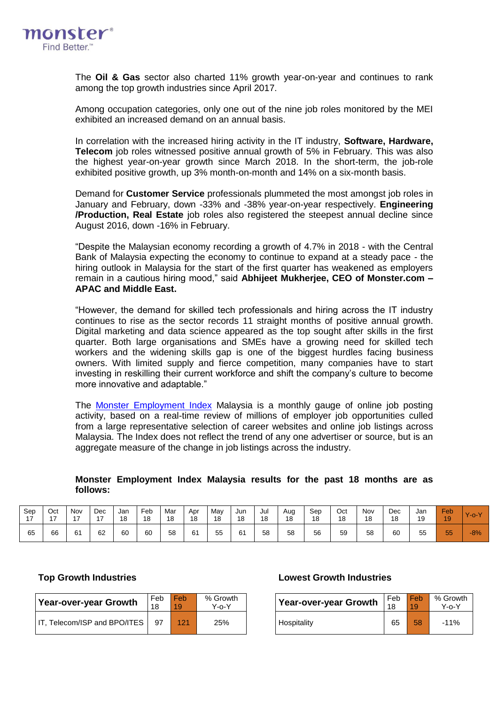

The **Oil & Gas** sector also charted 11% growth year-on-year and continues to rank among the top growth industries since April 2017.

Among occupation categories, only one out of the nine job roles monitored by the MEI exhibited an increased demand on an annual basis.

In correlation with the increased hiring activity in the IT industry, **Software, Hardware, Telecom** job roles witnessed positive annual growth of 5% in February. This was also the highest year-on-year growth since March 2018. In the short-term, the job-role exhibited positive growth, up 3% month-on-month and 14% on a six-month basis.

Demand for **Customer Service** professionals plummeted the most amongst job roles in January and February, down -33% and -38% year-on-year respectively. **Engineering /Production, Real Estate** job roles also registered the steepest annual decline since August 2016, down -16% in February.

"Despite the Malaysian economy recording a growth of 4.7% in 2018 - with the Central Bank of Malaysia expecting the economy to continue to expand at a steady pace - the hiring outlook in Malaysia for the start of the first quarter has weakened as employers remain in a cautious hiring mood," said **Abhijeet Mukherjee, CEO of Monster.com – APAC and Middle East.**

"However, the demand for skilled tech professionals and hiring across the IT industry continues to rise as the sector records 11 straight months of positive annual growth. Digital marketing and data science appeared as the top sought after skills in the first quarter. Both large organisations and SMEs have a growing need for skilled tech workers and the widening skills gap is one of the biggest hurdles facing business owners. With limited supply and fierce competition, many companies have to start investing in reskilling their current workforce and shift the company's culture to become more innovative and adaptable."

The [Monster Employment Index](http://www.monster.com.my/employment-index/) Malaysia is a monthly gauge of online job posting activity, based on a real-time review of millions of employer job opportunities culled from a large representative selection of career websites and online job listings across Malaysia. The Index does not reflect the trend of any one advertiser or source, but is an aggregate measure of the change in job listings across the industry.

## **Monster Employment Index Malaysia results for the past 18 months are as follows:**

| Sep | Oct            | Nov | Dec | Jan | Feb | Mar | Apr | May | Jun | Jul | Aug | Sep | Oct | Nov | Dec | Jan | Feb | $Y$ -o- $Y$ |
|-----|----------------|-----|-----|-----|-----|-----|-----|-----|-----|-----|-----|-----|-----|-----|-----|-----|-----|-------------|
| . – | $\overline{ }$ | 47  | 47  | 18  | 18  | 18  | 18  | 18  | 18  | 18  | 18  | 18  | 18  | 18  | 18  | 19  | 19  |             |
| 65  | 66             | 61  | 62  | 60  | 60  | 58  | 61  | 55  | 61  | 58  | 58  | 56  | 59  | 58  | 60  | 55  | 55  | $-8%$       |

| Year-over-year Growth        | Feb | Feb<br>19 | % Growth<br>Y-o-Y | Year-over-year Growth | Feb<br>18 | l Feb | % Grov<br>Y-0-Y |
|------------------------------|-----|-----------|-------------------|-----------------------|-----------|-------|-----------------|
| IT, Telecom/ISP and BPO/ITES | -97 | 121       | 25%               | Hospitality           | 65        | 58    | $-11%$          |

## **Top Growth Industries Lowest Growth Industries**

| Year-over-year Growth | Feb | l Feb | % Growth |
|-----------------------|-----|-------|----------|
|                       | 18  | 10    | Y-0-Y    |
| <b>Hospitality</b>    | 65  | 58    | $-11%$   |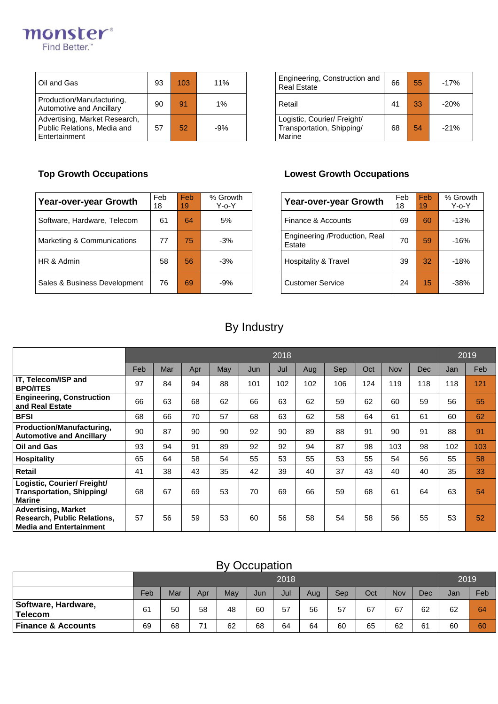

| Oil and Gas                                                                   | 93 | 103 | 11%   | Engineering, Construction and<br><b>Real Estate</b>                | 66 | 55 | $-17%$ |
|-------------------------------------------------------------------------------|----|-----|-------|--------------------------------------------------------------------|----|----|--------|
| Production/Manufacturing,<br>Automotive and Ancillary                         | 90 | 91  | $1\%$ | Retail                                                             | 41 | 33 | $-20%$ |
| Advertising, Market Research,<br>Public Relations, Media and<br>Entertainment | 57 | 52  | $-9%$ | Logistic, Courier/ Freight/<br>Transportation, Shipping/<br>Marine | 68 | 54 | $-21%$ |

| Engineering, Construction and<br><b>Real Estate</b>                | 66 | 55 | $-17%$ |
|--------------------------------------------------------------------|----|----|--------|
| Retail                                                             | 41 | 33 | $-20%$ |
| Logistic, Courier/ Freight/<br>Transportation, Shipping/<br>Marine | 68 | 54 | $-21%$ |

| Year-over-year Growth        | Feb<br>18 | Feb<br>19    | % Growth<br>$Y$ -o- $Y$ | Year-over-year Growth                   | Feb<br>18 | Feb<br>19 | % Grow<br>$Y$ -0- $Y$ |
|------------------------------|-----------|--------------|-------------------------|-----------------------------------------|-----------|-----------|-----------------------|
| Software, Hardware, Telecom  | 61        | 64           | 5%                      | Finance & Accounts                      | 69        | 60        | $-13%$                |
| Marketing & Communications   | 77        | $75^{\circ}$ | $-3%$                   | Engineering /Production, Real<br>Estate | 70        | 59        | $-16%$                |
| HR & Admin                   | 58        | 56           | $-3%$                   | Hospitality & Travel                    | 39        | 32        | $-18%$                |
| Sales & Business Development | 76        | 69           | $-9%$                   | <b>Customer Service</b>                 | 24        | 15        | $-38%$                |

## **Top Growth Occupations Lowest Growth Occupations**

| Year-over-year Growth                   | Feb<br>18 | Feb<br>19 | % Growth<br>Y-o-Y |
|-----------------------------------------|-----------|-----------|-------------------|
| Finance & Accounts                      | 69        | 60        | $-13%$            |
| Engineering /Production, Real<br>Estate | 70        | 59        | $-16%$            |
| Hospitality & Travel                    | 39        | 32        | $-18%$            |
| <b>Customer Service</b>                 | 24        | 15        | $-38%$            |

# By Industry

|                                                                                                    | 2018 |     |     |     |     |     |     |     |     |            |            |     |     |
|----------------------------------------------------------------------------------------------------|------|-----|-----|-----|-----|-----|-----|-----|-----|------------|------------|-----|-----|
|                                                                                                    | Feb  | Mar | Apr | May | Jun | Jul | Aug | Sep | Oct | <b>Nov</b> | <b>Dec</b> | Jan | Feb |
| IT, Telecom/ISP and<br><b>BPO/ITES</b>                                                             | 97   | 84  | 94  | 88  | 101 | 102 | 102 | 106 | 124 | 119        | 118        | 118 | 121 |
| <b>Engineering, Construction</b><br>and Real Estate                                                | 66   | 63  | 68  | 62  | 66  | 63  | 62  | 59  | 62  | 60         | 59         | 56  | 55  |
| <b>BFSI</b>                                                                                        | 68   | 66  | 70  | 57  | 68  | 63  | 62  | 58  | 64  | 61         | 61         | 60  | 62  |
| Production/Manufacturing,<br><b>Automotive and Ancillary</b>                                       | 90   | 87  | 90  | 90  | 92  | 90  | 89  | 88  | 91  | 90         | 91         | 88  | 91  |
| <b>Oil and Gas</b>                                                                                 | 93   | 94  | 91  | 89  | 92  | 92  | 94  | 87  | 98  | 103        | 98         | 102 | 103 |
| <b>Hospitality</b>                                                                                 | 65   | 64  | 58  | 54  | 55  | 53  | 55  | 53  | 55  | 54         | 56         | 55  | 58  |
| Retail                                                                                             | 41   | 38  | 43  | 35  | 42  | 39  | 40  | 37  | 43  | 40         | 40         | 35  | 33  |
| Logistic, Courier/ Freight/<br>Transportation, Shipping/<br><b>Marine</b>                          | 68   | 67  | 69  | 53  | 70  | 69  | 66  | 59  | 68  | 61         | 64         | 63  | 54  |
| <b>Advertising, Market</b><br><b>Research, Public Relations,</b><br><b>Media and Entertainment</b> | 57   | 56  | 59  | 53  | 60  | 56  | 58  | 54  | 58  | 56         | 55         | 53  | 52  |

# By Occupation

|                                       |     |     |     |     |     | 2018 |     |     |     |     |     | 2019 |     |
|---------------------------------------|-----|-----|-----|-----|-----|------|-----|-----|-----|-----|-----|------|-----|
|                                       | Feb | Mar | Apr | May | Jun | Jul  | Aug | Sep | Oct | Nov | Dec | Jan  | Feb |
| Software, Hardware,<br><b>Telecom</b> | 61  | 50  | 58  | 48  | 60  | 57   | 56  | 57  | 67  | 67  | 62  | 62   | 64  |
| <b>Finance &amp; Accounts</b>         | 69  | 68  | 74  | 62  | 68  | 64   | 64  | 60  | 65  | 62  | 61  | 60   | 60  |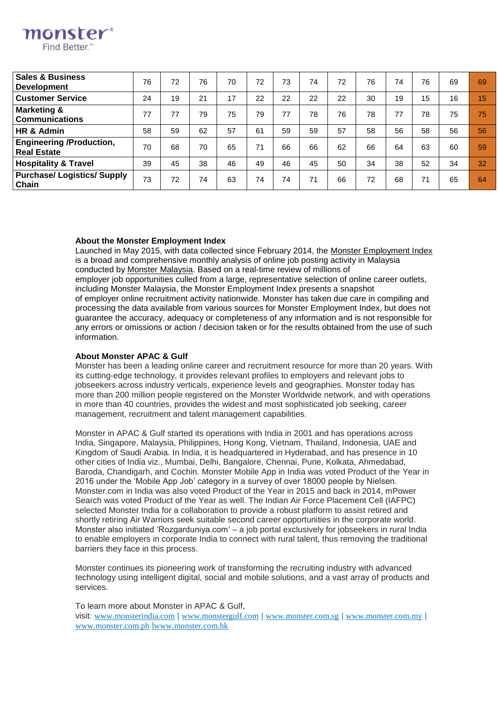| <b>Sales &amp; Business</b><br><b>Development</b>     | 76 | 72 | 76 | 70 | 72 | 73 | 74 | 72 | 76 | 74 | 76 | 69 | 69 |
|-------------------------------------------------------|----|----|----|----|----|----|----|----|----|----|----|----|----|
| <b>Customer Service</b>                               | 24 | 19 | 21 | 17 | 22 | 22 | 22 | 22 | 30 | 19 | 15 | 16 | 15 |
| <b>Marketing &amp;</b><br><b>Communications</b>       | 77 | 77 | 79 | 75 | 79 | 77 | 78 | 76 | 78 | 77 | 78 | 75 | 75 |
| HR & Admin                                            | 58 | 59 | 62 | 57 | 61 | 59 | 59 | 57 | 58 | 56 | 58 | 56 | 56 |
| <b>Engineering /Production,</b><br><b>Real Estate</b> | 70 | 68 | 70 | 65 | 71 | 66 | 66 | 62 | 66 | 64 | 63 | 60 | 59 |
| <b>Hospitality &amp; Travel</b>                       | 39 | 45 | 38 | 46 | 49 | 46 | 45 | 50 | 34 | 38 | 52 | 34 | 32 |
| <b>Purchase/ Logistics/ Supply</b><br>Chain           | 73 | 72 | 74 | 63 | 74 | 74 | 71 | 66 | 72 | 68 | 71 | 65 | 64 |

## **About the Monster Employment Index**

**monster**<sup>®</sup> **Find Better** 

> Launched in May 2015, with data collected since February 2014, the [Monster Employment Index](http://www.monster.com.my/employment-index/) is a broad and comprehensive monthly analysis of online job posting activity in Malaysia conducted by [Monster Malaysia.](http://www.monster.com.my/) Based on a real-time review of millions of employer job opportunities culled from a large, representative selection of online career outlets, including Monster Malaysia, the Monster Employment Index presents a snapshot of employer online recruitment activity nationwide. Monster has taken due care in compiling and processing the data available from various sources for Monster Employment Index, but does not guarantee the accuracy, adequacy or completeness of any information and is not responsible for any errors or omissions or action / decision taken or for the results obtained from the use of such information.

#### **About Monster APAC & Gulf**

Monster has been a leading online career and recruitment resource for more than 20 years. With its cutting-edge technology, it provides relevant profiles to employers and relevant jobs to jobseekers across industry verticals, experience levels and geographies. Monster today has more than 200 million people registered on the Monster Worldwide network, and with operations in more than 40 countries, provides the widest and most sophisticated job seeking, career management, recruitment and talent management capabilities.

Monster in APAC & Gulf started its operations with India in 2001 and has operations across India, Singapore, Malaysia, Philippines, Hong Kong, Vietnam, Thailand, Indonesia, UAE and Kingdom of Saudi Arabia. In India, it is headquartered in Hyderabad, and has presence in 10 other cities of India viz., Mumbai, Delhi, Bangalore, Chennai, Pune, Kolkata, Ahmedabad, Baroda, Chandigarh, and Cochin. Monster Mobile App in India was voted Product of the Year in 2016 under the 'Mobile App Job' category in a survey of over 18000 people by Nielsen. Monster.com in India was also voted Product of the Year in 2015 and back in 2014, mPower Search was voted Product of the Year as well. The Indian Air Force Placement Cell (IAFPC) selected Monster India for a collaboration to provide a robust platform to assist retired and shortly retiring Air Warriors seek suitable second career opportunities in the corporate world. Monster also initiated 'Rozgarduniya.com' – a job portal exclusively for jobseekers in rural India to enable employers in corporate India to connect with rural talent, thus removing the traditional barriers they face in this process.

Monster continues its pioneering work of transforming the recruiting industry with advanced technology using intelligent digital, social and mobile solutions, and a vast array of products and services.

To learn more about Monster in APAC & Gulf, visit: [www.monsterindia.com](http://www.monsterindia.com/) | [www.monstergulf.com](http://www.monstergulf.com/) | [www.monster.com.sg](http://www.monster.com.sg/) | [www.monster.com.my](http://www.monster.com.my/) | [www.monster.com.ph](http://www.monster.com.ph/) |[www.monster.com.hk](http://www.monster.com.hk/)